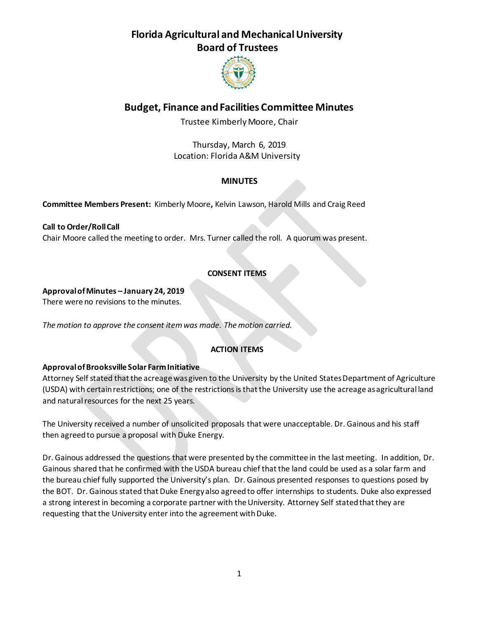

## **Budget, Finance and Facilities Committee Minutes**

Trustee Kimberly Moore, Chair

Thursday, March 6, 2019 Location: Florida A&M University

## **MINUTES**

**Committee Members Present:** Kimberly Moore**,** Kelvin Lawson, Harold Mills and Craig Reed

**Call to Order/Roll Call** Chair Moore called the meeting to order. Mrs. Turner called the roll. A quorum was present.

## **CONSENT ITEMS**

### **Approval of Minutes – January 24, 2019**

There were no revisions to the minutes.

*The motion to approve the consent item was made. The motion carried.*

## **ACTION ITEMS**

## **Approval of Brooksville Solar Farm Initiative**

Attorney Self stated that the acreage was given to the University by the United States Department of Agriculture (USDA) with certain restrictions; one of the restrictions is that the University use the acreage as agricultural land and natural resources for the next 25 years.

The University received a number of unsolicited proposals that were unacceptable. Dr. Gainous and his staff then agreed to pursue a proposal with Duke Energy.

Dr. Gainous addressed the questions that were presented by the committee in the last meeting. In addition, Dr. Gainous shared that he confirmed with the USDA bureau chief that the land could be used as a solar farm and the bureau chief fully supported the University's plan. Dr. Gainous presented responses to questions posed by the BOT. Dr. Gainous stated that Duke Energy also agreed to offer internships to students. Duke also expressed a strong interest in becoming a corporate partner with the University. Attorney Self stated that they are requesting that the University enter into the agreement with Duke.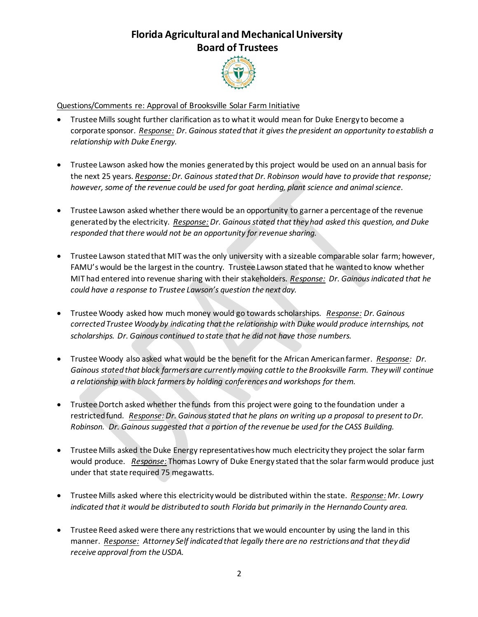

### Questions/Comments re: Approval of Brooksville Solar Farm Initiative

- Trustee Mills sought further clarification as to what it would mean for Duke Energy to become a corporate sponsor. *Response: Dr. Gainous stated that it gives the president an opportunity to establish a relationship with Duke Energy.*
- Trustee Lawson asked how the monies generated by this project would be used on an annual basis for the next 25 years. *Response: Dr. Gainous stated that Dr. Robinson would have to provide that response;* however, some of the revenue could be used for goat herding, plant science and animal science.
- Trustee Lawson asked whether there would be an opportunity to garner a percentage of the revenue generated by the electricity. *Response: Dr. Gainous stated that they had asked this question, and Duke responded that there would not be an opportunity for revenue sharing.*
- Trustee Lawson stated that MIT was the only university with a sizeable comparable solar farm; however, FAMU's would be the largest in the country. Trustee Lawson stated that he wanted to know whether MIT had entered into revenue sharing with their stakeholders. *Response: Dr. Gainous indicated that he could have a response to Trustee Lawson's question the next day.*
- Trustee Woody asked how much money would go towards scholarships. *Response: Dr. Gainous corrected Trustee Woody by indicating that the relationship with Duke would produce internships, not scholarships. Dr. Gainous continued to state that he did not have those numbers.*
- Trustee Woody also asked what would be the benefit for the African American farmer*. Response: Dr. Gainous stated that black farmers are currently moving cattle to the Brooksville Farm. They will continue a relationship with black farmers by holding conferences and workshops for them.*
- Trustee Dortch asked whether the funds from this project were going to the foundation under a restricted fund. *Response: Dr. Gainous stated that he plans on writing up a proposal to present to Dr. Robinson. Dr. Gainous suggested that a portion of the revenue be used for the CASS Building.*
- Trustee Mills asked the Duke Energy representatives how much electricity they project the solar farm would produce. *Response:* Thomas Lowry of Duke Energy stated that the solar farm would produce just under that state required 75 megawatts.
- Trustee Mills asked where this electricity would be distributed within the state. *Response: Mr. Lowry indicated that it would be distributed to south Florida but primarily in the Hernando County area.*
- Trustee Reed asked were there any restrictions that we would encounter by using the land in this manner. *Response: Attorney Self indicated that legally there are no restrictions and that they did receive approval from the USDA.*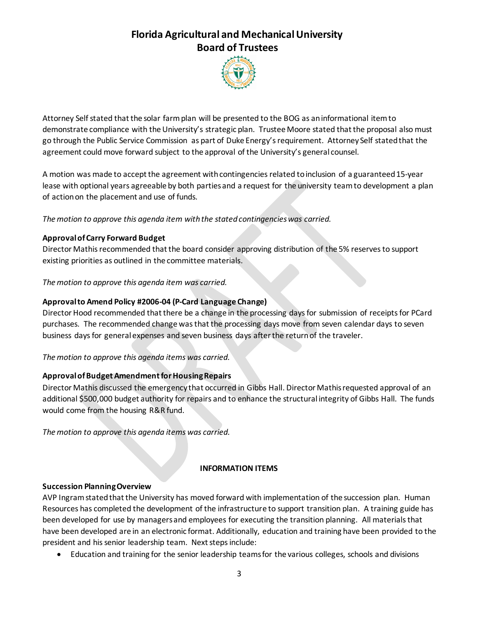

Attorney Self stated that the solar farm plan will be presented to the BOG as an informational item to demonstrate compliance with the University's strategic plan. Trustee Moore stated that the proposal also must go through the Public Service Commission as part of Duke Energy's requirement. Attorney Self stated that the agreement could move forward subject to the approval of the University's general counsel.

A motion was made to accept the agreement with contingencies related to inclusion of a guaranteed 15-year lease with optional years agreeable by both parties and a request for the university team to development a plan of action on the placement and use of funds.

*The motion to approve this agenda item with the stated contingencies was carried.*

## **Approval of Carry Forward Budget**

Director Mathis recommended that the board consider approving distribution of the 5% reserves to support existing priorities as outlined in the committee materials.

*The motion to approve this agenda item was carried.*

## **Approval to Amend Policy #2006-04 (P-Card Language Change)**

Director Hood recommended that there be a change in the processing days for submission of receipts for PCard purchases. The recommended change was that the processing days move from seven calendar days to seven business days for general expenses and seven business days after the return of the traveler.

## *The motion to approve this agenda items was carried.*

## **Approval of Budget Amendment for Housing Repairs**

Director Mathis discussed the emergency that occurred in Gibbs Hall. Director Mathis requested approval of an additional \$500,000 budget authority for repairs and to enhance the structural integrity of Gibbs Hall. The funds would come from the housing R&R fund.

*The motion to approve this agenda items was carried.*

## **INFORMATION ITEMS**

## **Succession Planning Overview**

AVP Ingram stated that the University has moved forward with implementation of the succession plan. Human Resources has completed the development of the infrastructure to support transition plan. A training guide has been developed for use by managers and employees for executing the transition planning. All materials that have been developed are in an electronic format. Additionally, education and training have been provided to the president and his senior leadership team. Next steps include:

Education and training for the senior leadership teams for the various colleges, schools and divisions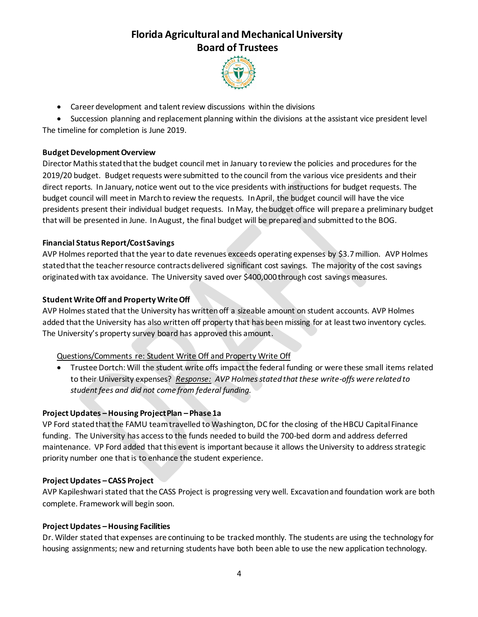

Career development and talent review discussions within the divisions

 Succession planning and replacement planning within the divisions at the assistant vice president level The timeline for completion is June 2019.

### **Budget Development Overview**

Director Mathis stated that the budget council met in January to review the policies and procedures for the 2019/20 budget. Budget requests were submitted to the council from the various vice presidents and their direct reports. In January, notice went out to the vice presidents with instructions for budget requests. The budget council will meet in March to review the requests. In April, the budget council will have the vice presidents present their individual budget requests. In May, the budget office will prepare a preliminary budget that will be presented in June. In August, the final budget will be prepared and submitted to the BOG.

### **Financial Status Report/Cost Savings**

AVP Holmes reported that the year to date revenues exceeds operating expenses by \$3.7 million. AVP Holmes stated that the teacher resource contracts delivered significant cost savings. The majority of the cost savings originated with tax avoidance. The University saved over \$400,000 through cost savings measures.

### **Student Write Off and Property Write Off**

AVP Holmes stated that the University has written off a sizeable amount on student accounts. AVP Holmes added that the University has also written off property that has been missing for at least two inventory cycles. The University's property survey board has approved this amount.

#### Questions/Comments re: Student Write Off and Property Write Off

 Trustee Dortch: Will the student write offs impact the federal funding or were these small items related to their University expenses? *Response: AVP Holmes stated that these write-offs were related to student fees and did not come from federal funding.*

#### **Project Updates –Housing Project Plan – Phase 1a**

VP Ford stated that the FAMU team travelled to Washington, DC for the closing of the HBCU Capital Finance funding. The University has access to the funds needed to build the 700-bed dorm and address deferred maintenance. VP Ford added that this event is important because it allows the University to address strategic priority number one that is to enhance the student experience.

#### **Project Updates – CASS Project**

AVP Kapileshwari stated that the CASS Project is progressing very well. Excavation and foundation work are both complete. Framework will begin soon.

#### **Project Updates –Housing Facilities**

Dr. Wilder stated that expenses are continuing to be tracked monthly. The students are using the technology for housing assignments; new and returning students have both been able to use the new application technology.